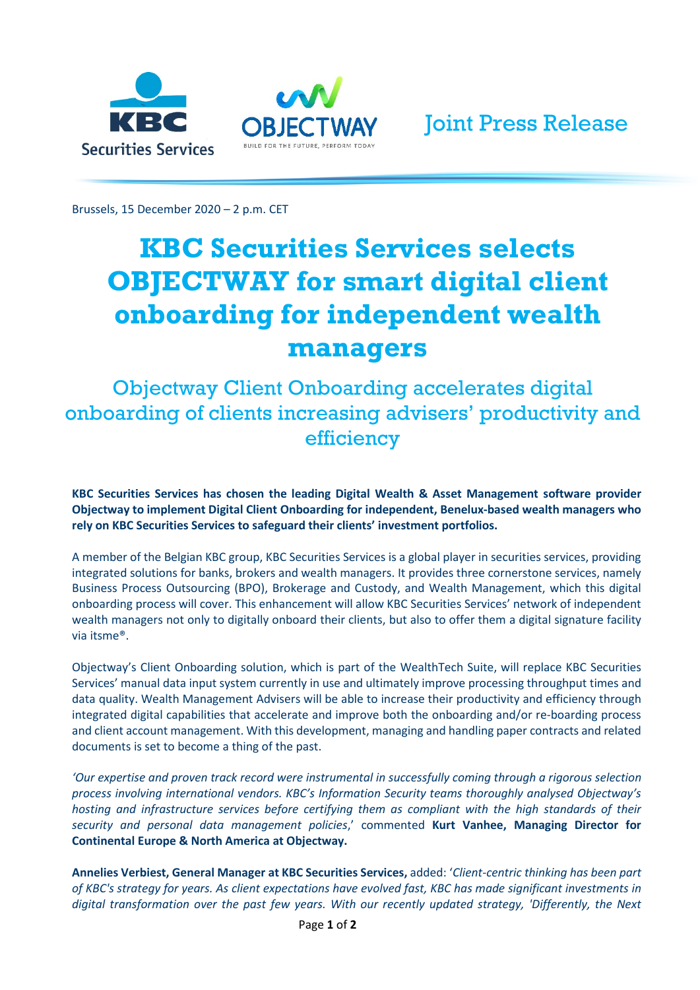



Brussels, 15 December 2020 – 2 p.m. CET

## **KBC Securities Services selects OBJECTWAY for smart digital client onboarding for independent wealth managers**

Objectway Client Onboarding accelerates digital onboarding of clients increasing advisers' productivity and efficiency

**KBC Securities Services has chosen the leading Digital Wealth & Asset Management software provider Objectway to implement Digital Client Onboarding for independent, Benelux-based wealth managers who rely on KBC Securities Services to safeguard their clients' investment portfolios.** 

A member of the Belgian KBC group, KBC Securities Services is a global player in securities services, providing integrated solutions for banks, brokers and wealth managers. It provides three cornerstone services, namely Business Process Outsourcing (BPO), Brokerage and Custody, and Wealth Management, which this digital onboarding process will cover. This enhancement will allow KBC Securities Services' network of independent wealth managers not only to digitally onboard their clients, but also to offer them a digital signature facility via itsme®.

Objectway's Client Onboarding solution, which is part of the WealthTech Suite, will replace KBC Securities Services' manual data input system currently in use and ultimately improve processing throughput times and data quality. Wealth Management Advisers will be able to increase their productivity and efficiency through integrated digital capabilities that accelerate and improve both the onboarding and/or re-boarding process and client account management. With this development, managing and handling paper contracts and related documents is set to become a thing of the past.

*'Our expertise and proven track record were instrumental in successfully coming through a rigorous selection process involving international vendors. KBC's Information Security teams thoroughly analysed Objectway's hosting and infrastructure services before certifying them as compliant with the high standards of their security and personal data management policies*,' commented **Kurt Vanhee, Managing Director for Continental Europe & North America at Objectway.** 

**Annelies Verbiest, General Manager at KBC Securities Services,** added: '*Client-centric thinking has been part of KBC's strategy for years. As client expectations have evolved fast, KBC has made significant investments in digital transformation over the past few years. With our recently updated strategy, 'Differently, the Next*